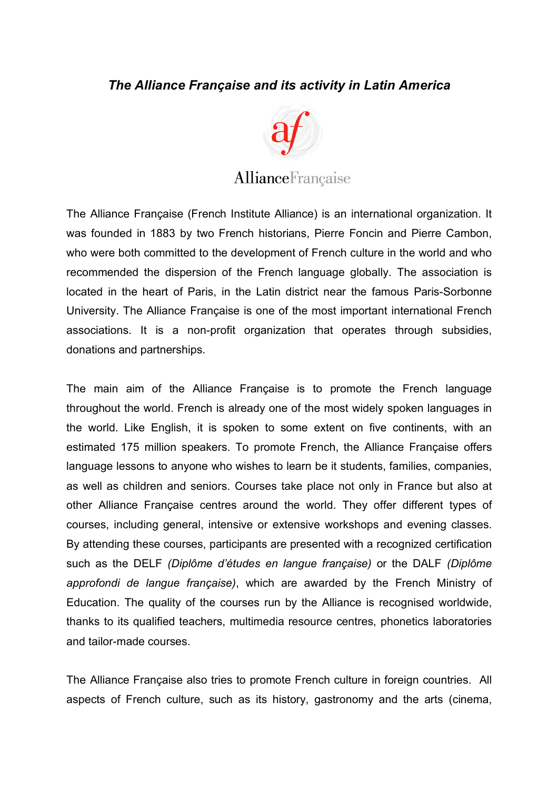## *The Alliance Française and its activity in Latin America*



## **AllianceFrançaise**

The Alliance Française (French Institute Alliance) is an international organization. It was founded in 1883 by two French historians, Pierre Foncin and Pierre Cambon, who were both committed to the development of French culture in the world and who recommended the dispersion of the French language globally. The association is located in the heart of Paris, in the Latin district near the famous Paris-Sorbonne University. The Alliance Française is one of the most important international French associations. It is a non-profit organization that operates through subsidies, donations and partnerships.

The main aim of the Alliance Française is to promote the French language throughout the world. French is already one of the most widely spoken languages in the world. Like English, it is spoken to some extent on five continents, with an estimated 175 million speakers. To promote French, the Alliance Française offers language lessons to anyone who wishes to learn be it students, families, companies, as well as children and seniors. Courses take place not only in France but also at other Alliance Française centres around the world. They offer different types of courses, including general, intensive or extensive workshops and evening classes. By attending these courses, participants are presented with a recognized certification such as the DELF *(Diplôme d'études en langue française)* or the DALF *(Diplôme approfondi de langue française)*, which are awarded by the French Ministry of Education. The quality of the courses run by the Alliance is recognised worldwide, thanks to its qualified teachers, multimedia resource centres, phonetics laboratories and tailor-made courses.

The Alliance Française also tries to promote French culture in foreign countries. All aspects of French culture, such as its history, gastronomy and the arts (cinema,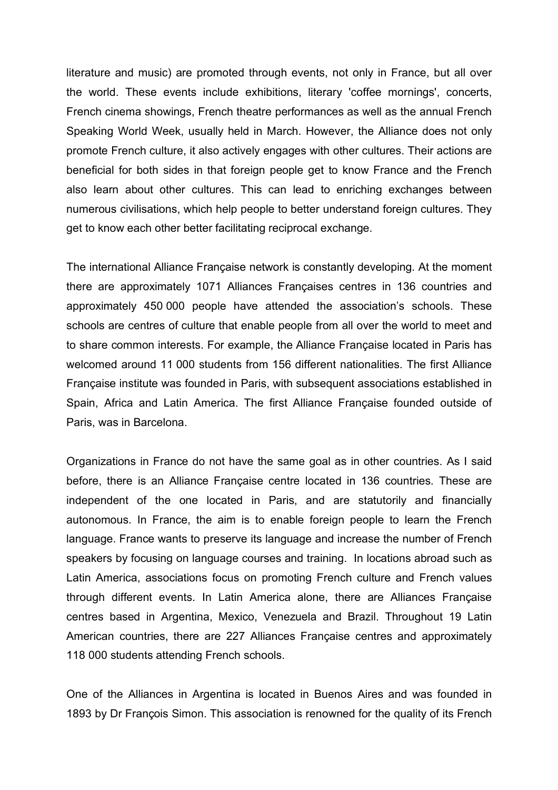literature and music) are promoted through events, not only in France, but all over the world. These events include exhibitions, literary 'coffee mornings', concerts, French cinema showings, French theatre performances as well as the annual French Speaking World Week, usually held in March. However, the Alliance does not only promote French culture, it also actively engages with other cultures. Their actions are beneficial for both sides in that foreign people get to know France and the French also learn about other cultures. This can lead to enriching exchanges between numerous civilisations, which help people to better understand foreign cultures. They get to know each other better facilitating reciprocal exchange.

The international Alliance Française network is constantly developing. At the moment there are approximately 1071 Alliances Françaises centres in 136 countries and approximately 450 000 people have attended the association's schools. These schools are centres of culture that enable people from all over the world to meet and to share common interests. For example, the Alliance Française located in Paris has welcomed around 11 000 students from 156 different nationalities. The first Alliance Française institute was founded in Paris, with subsequent associations established in Spain, Africa and Latin America. The first Alliance Française founded outside of Paris, was in Barcelona.

Organizations in France do not have the same goal as in other countries. As I said before, there is an Alliance Française centre located in 136 countries. These are independent of the one located in Paris, and are statutorily and financially autonomous. In France, the aim is to enable foreign people to learn the French language. France wants to preserve its language and increase the number of French speakers by focusing on language courses and training. In locations abroad such as Latin America, associations focus on promoting French culture and French values through different events. In Latin America alone, there are Alliances Française centres based in Argentina, Mexico, Venezuela and Brazil. Throughout 19 Latin American countries, there are 227 Alliances Française centres and approximately 118 000 students attending French schools.

One of the Alliances in Argentina is located in Buenos Aires and was founded in 1893 by Dr François Simon. This association is renowned for the quality of its French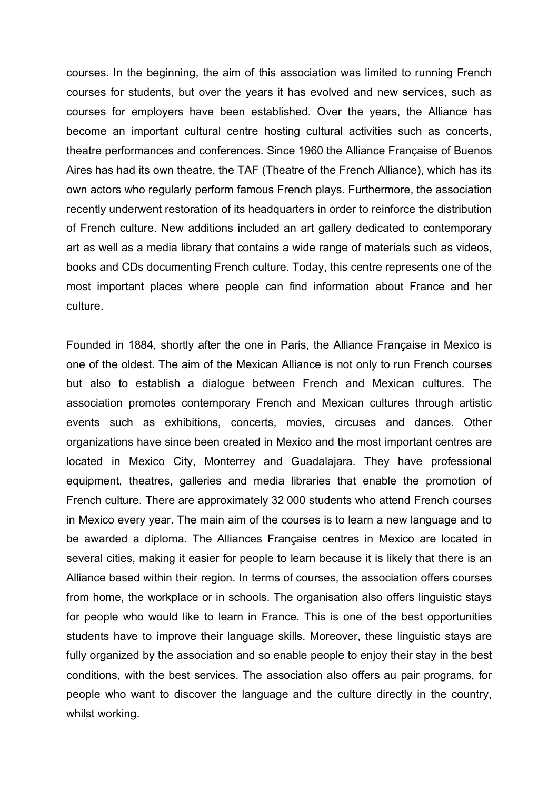courses. In the beginning, the aim of this association was limited to running French courses for students, but over the years it has evolved and new services, such as courses for employers have been established. Over the years, the Alliance has become an important cultural centre hosting cultural activities such as concerts, theatre performances and conferences. Since 1960 the Alliance Française of Buenos Aires has had its own theatre, the TAF (Theatre of the French Alliance), which has its own actors who regularly perform famous French plays. Furthermore, the association recently underwent restoration of its headquarters in order to reinforce the distribution of French culture. New additions included an art gallery dedicated to contemporary art as well as a media library that contains a wide range of materials such as videos, books and CDs documenting French culture. Today, this centre represents one of the most important places where people can find information about France and her culture.

Founded in 1884, shortly after the one in Paris, the Alliance Française in Mexico is one of the oldest. The aim of the Mexican Alliance is not only to run French courses but also to establish a dialogue between French and Mexican cultures. The association promotes contemporary French and Mexican cultures through artistic events such as exhibitions, concerts, movies, circuses and dances. Other organizations have since been created in Mexico and the most important centres are located in Mexico City, Monterrey and Guadalajara. They have professional equipment, theatres, galleries and media libraries that enable the promotion of French culture. There are approximately 32 000 students who attend French courses in Mexico every year. The main aim of the courses is to learn a new language and to be awarded a diploma. The Alliances Française centres in Mexico are located in several cities, making it easier for people to learn because it is likely that there is an Alliance based within their region. In terms of courses, the association offers courses from home, the workplace or in schools. The organisation also offers linguistic stays for people who would like to learn in France. This is one of the best opportunities students have to improve their language skills. Moreover, these linguistic stays are fully organized by the association and so enable people to enjoy their stay in the best conditions, with the best services. The association also offers au pair programs, for people who want to discover the language and the culture directly in the country, whilst working.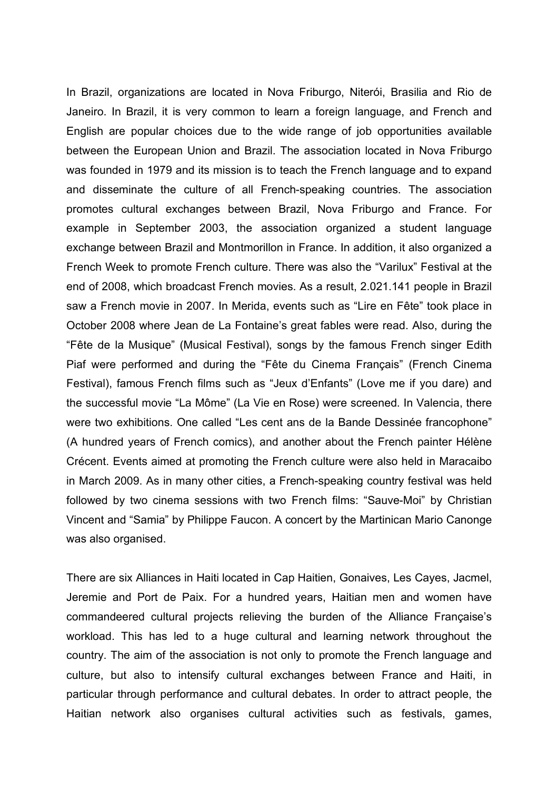In Brazil, organizations are located in Nova Friburgo, Niterói, Brasilia and Rio de Janeiro. In Brazil, it is very common to learn a foreign language, and French and English are popular choices due to the wide range of job opportunities available between the European Union and Brazil. The association located in Nova Friburgo was founded in 1979 and its mission is to teach the French language and to expand and disseminate the culture of all French-speaking countries. The association promotes cultural exchanges between Brazil, Nova Friburgo and France. For example in September 2003, the association organized a student language exchange between Brazil and Montmorillon in France. In addition, it also organized a French Week to promote French culture. There was also the "Varilux" Festival at the end of 2008, which broadcast French movies. As a result, 2.021.141 people in Brazil saw a French movie in 2007. In Merida, events such as "Lire en Fête" took place in October 2008 where Jean de La Fontaine's great fables were read. Also, during the "Fête de la Musique" (Musical Festival), songs by the famous French singer Edith Piaf were performed and during the "Fête du Cinema Français" (French Cinema Festival), famous French films such as "Jeux d'Enfants" (Love me if you dare) and the successful movie "La Môme" (La Vie en Rose) were screened. In Valencia, there were two exhibitions. One called "Les cent ans de la Bande Dessinée francophone" (A hundred years of French comics), and another about the French painter Hélène Crécent. Events aimed at promoting the French culture were also held in Maracaibo in March 2009. As in many other cities, a French-speaking country festival was held followed by two cinema sessions with two French films: "Sauve-Moi" by Christian Vincent and "Samia" by Philippe Faucon. A concert by the Martinican Mario Canonge was also organised.

There are six Alliances in Haiti located in Cap Haitien, Gonaives, Les Cayes, Jacmel, Jeremie and Port de Paix. For a hundred years, Haitian men and women have commandeered cultural projects relieving the burden of the Alliance Française's workload. This has led to a huge cultural and learning network throughout the country. The aim of the association is not only to promote the French language and culture, but also to intensify cultural exchanges between France and Haiti, in particular through performance and cultural debates. In order to attract people, the Haitian network also organises cultural activities such as festivals, games,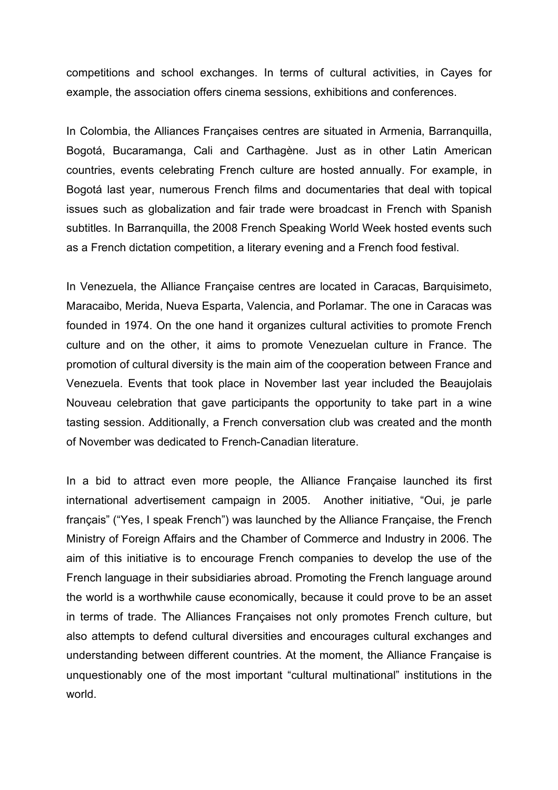competitions and school exchanges. In terms of cultural activities, in Cayes for example, the association offers cinema sessions, exhibitions and conferences.

In Colombia, the Alliances Françaises centres are situated in Armenia, Barranquilla, Bogotá, Bucaramanga, Cali and Carthagène. Just as in other Latin American countries, events celebrating French culture are hosted annually. For example, in Bogotá last year, numerous French films and documentaries that deal with topical issues such as globalization and fair trade were broadcast in French with Spanish subtitles. In Barranquilla, the 2008 French Speaking World Week hosted events such as a French dictation competition, a literary evening and a French food festival.

In Venezuela, the Alliance Française centres are located in Caracas, Barquisimeto, Maracaibo, Merida, Nueva Esparta, Valencia, and Porlamar. The one in Caracas was founded in 1974. On the one hand it organizes cultural activities to promote French culture and on the other, it aims to promote Venezuelan culture in France. The promotion of cultural diversity is the main aim of the cooperation between France and Venezuela. Events that took place in November last year included the Beaujolais Nouveau celebration that gave participants the opportunity to take part in a wine tasting session. Additionally, a French conversation club was created and the month of November was dedicated to French-Canadian literature.

In a bid to attract even more people, the Alliance Française launched its first international advertisement campaign in 2005. Another initiative, "Oui, je parle français" ("Yes, I speak French") was launched by the Alliance Française, the French Ministry of Foreign Affairs and the Chamber of Commerce and Industry in 2006. The aim of this initiative is to encourage French companies to develop the use of the French language in their subsidiaries abroad. Promoting the French language around the world is a worthwhile cause economically, because it could prove to be an asset in terms of trade. The Alliances Françaises not only promotes French culture, but also attempts to defend cultural diversities and encourages cultural exchanges and understanding between different countries. At the moment, the Alliance Française is unquestionably one of the most important "cultural multinational" institutions in the world.